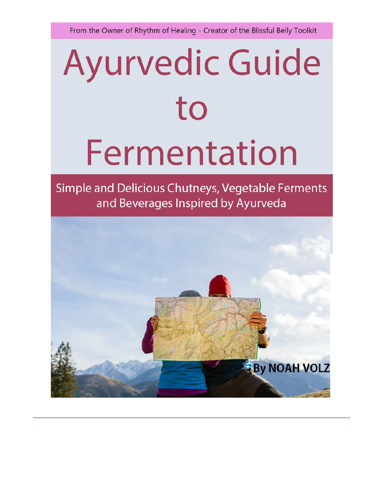From the Owner of Rhythm of Healing - Creator of the Blissful Belly Toolkit

# **Ayurvedic Guide** to Fermentation

Simple and Delicious Chutneys, Vegetable Ferments and Beverages Inspired by Ayurveda

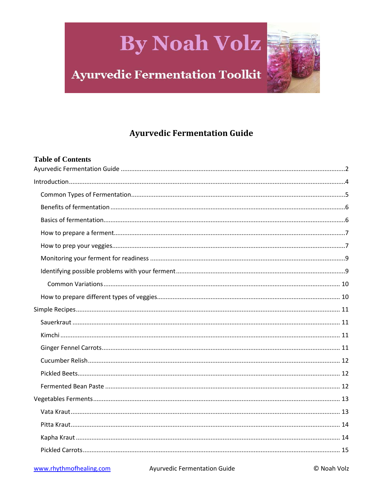### **Ayurvedic Fermentation Toolkit**

### **Ayurvedic Fermentation Guide**

#### <span id="page-1-0"></span>**Table of Contents**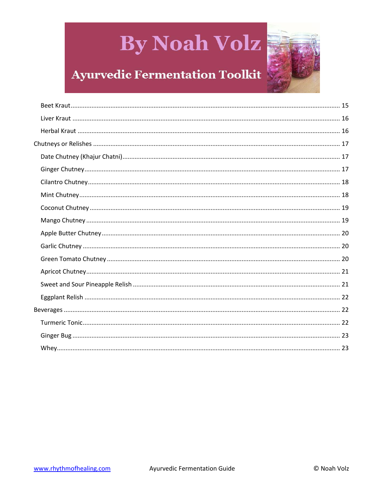

### **Ayurvedic Fermentation Toolkit**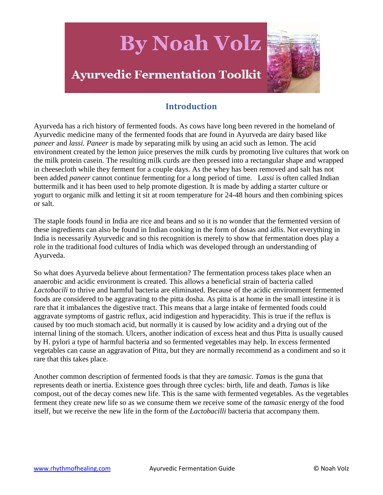

#### **Introduction**

<span id="page-3-0"></span>Ayurveda has a rich history of fermented foods. As cows have long been revered in the homeland of Ayurvedic medicine many of the fermented foods that are found in Ayurveda are dairy based like *paneer* and *lassi. Paneer* is made by separating milk by using an acid such as lemon. The acid environment created by the lemon juice preserves the milk curds by promoting live cultures that work on the milk protein casein. The resulting milk curds are then pressed into a rectangular shape and wrapped in cheesecloth while they ferment for a couple days. As the whey has been removed and salt has not been added *paneer* cannot continue fermenting for a long period of time. L*assi* is often called Indian buttermilk and it has been used to help promote digestion. It is made by adding a starter culture or yogurt to organic milk and letting it sit at room temperature for 24-48 hours and then combining spices or salt.

The staple foods found in India are rice and beans and so it is no wonder that the fermented version of these ingredients can also be found in Indian cooking in the form of dosas and *idlis*. Not everything in India is necessarily Ayurvedic and so this recognition is merely to show that fermentation does play a role in the traditional food cultures of India which was developed through an understanding of Ayurveda.

So what does Ayurveda believe about fermentation? The fermentation process takes place when an anaerobic and acidic environment is created. This allows a beneficial strain of bacteria called *Lactobacili* to thrive and harmful bacteria are eliminated. Because of the acidic environment fermented foods are considered to be aggravating to the pitta dosha. As pitta is at home in the small intestine it is rare that it imbalances the digestive tract. This means that a large intake of fermented foods could aggravate symptoms of gastric reflux, acid indigestion and hyperacidity. This is true if the reflux is caused by too much stomach acid, but normally it is caused by low acidity and a drying out of the internal lining of the stomach. Ulcers, another indication of excess heat and thus Pitta is usually caused by H. pylori a type of harmful bacteria and so fermented vegetables may help. In excess fermented vegetables can cause an aggravation of Pitta, but they are normally recommend as a condiment and so it rare that this takes place.

Another common description of fermented foods is that they are *tamasic*. *Tamas* is the guna that represents death or inertia. Existence goes through three cycles: birth, life and death. *Tamas* is like compost, out of the decay comes new life. This is the same with fermented vegetables. As the vegetables ferment they create new life so as we consume them we receive some of the *tamasic* energy of the food itself, but we receive the new life in the form of the *Lactobacilli* bacteria that accompany them.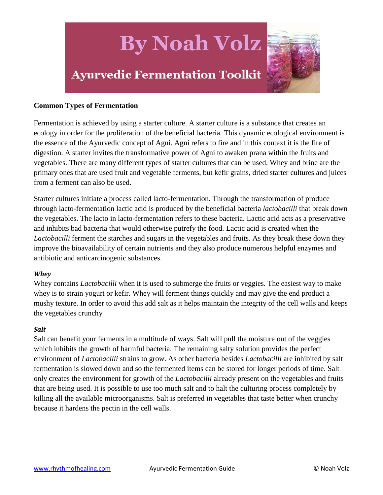

#### <span id="page-4-0"></span>**Common Types of Fermentation**

Fermentation is achieved by using a starter culture. A starter culture is a substance that creates an ecology in order for the proliferation of the beneficial bacteria. This dynamic ecological environment is the essence of the Ayurvedic concept of Agni. Agni refers to fire and in this context it is the fire of digestion. A starter invites the transformative power of Agni to awaken prana within the fruits and vegetables. There are many different types of starter cultures that can be used. Whey and brine are the primary ones that are used fruit and vegetable ferments, but kefir grains, dried starter cultures and juices from a ferment can also be used.

Starter cultures initiate a process called lacto-fermentation. Through the transformation of produce through lacto-fermentation lactic acid is produced by the beneficial bacteria *lactobacilli* that break down the vegetables. The lacto in lacto-fermentation refers to these bacteria. Lactic acid acts as a preservative and inhibits bad bacteria that would otherwise putrefy the food. Lactic acid is created when the *Lactobacilli* ferment the starches and sugars in the vegetables and fruits. As they break these down they improve the bioavailability of certain nutrients and they also produce numerous helpful enzymes and antibiotic and anticarcinogenic substances.

#### *Whey*

Whey contains *Lactobacilli* when it is used to submerge the fruits or veggies. The easiest way to make whey is to strain yogurt or kefir. Whey will ferment things quickly and may give the end product a mushy texture. In order to avoid this add salt as it helps maintain the integrity of the cell walls and keeps the vegetables crunchy

#### *Salt*

Salt can benefit your ferments in a multitude of ways. Salt will pull the moisture out of the veggies which inhibits the growth of harmful bacteria. The remaining salty solution provides the perfect environment of *Lactobacilli* strains to grow. As other bacteria besides *Lactobacilli* are inhibited by salt fermentation is slowed down and so the fermented items can be stored for longer periods of time. Salt only creates the environment for growth of the *Lactobacilli* already present on the vegetables and fruits that are being used. It is possible to use too much salt and to halt the culturing process completely by killing all the available microorganisms. Salt is preferred in vegetables that taste better when crunchy because it hardens the pectin in the cell walls.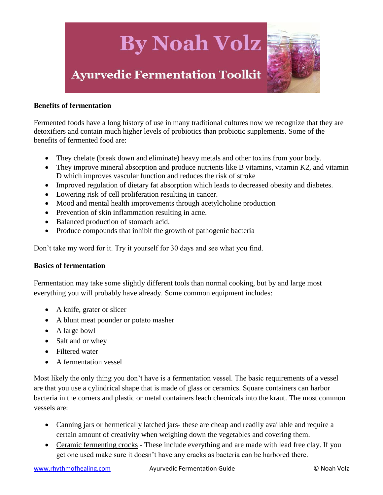

#### <span id="page-5-0"></span>**Benefits of fermentation**

Fermented foods have a long history of use in many traditional cultures now we recognize that they are detoxifiers and contain much higher levels of probiotics than probiotic supplements. Some of the benefits of fermented food are:

- They chelate (break down and eliminate) heavy metals and other toxins from your body.
- They improve mineral absorption and produce nutrients like B vitamins, vitamin K2, and vitamin D which improves vascular function and reduces the risk of stroke
- Improved regulation of dietary fat absorption which leads to decreased obesity and diabetes.
- Lowering risk of cell proliferation resulting in cancer.
- Mood and mental health improvements through acetylcholine production
- Prevention of skin inflammation resulting in acne.
- Balanced production of stomach acid.
- Produce compounds that inhibit the growth of pathogenic bacteria

Don't take my word for it. Try it yourself for 30 days and see what you find.

#### <span id="page-5-1"></span>**Basics of fermentation**

Fermentation may take some slightly different tools than normal cooking, but by and large most everything you will probably have already. Some common equipment includes:

- A knife, grater or slicer
- A blunt meat pounder or potato masher
- A large bowl
- Salt and or whey
- Filtered water
- A fermentation vessel

Most likely the only thing you don't have is a fermentation vessel. The basic requirements of a vessel are that you use a cylindrical shape that is made of glass or ceramics. Square containers can harbor bacteria in the corners and plastic or metal containers leach chemicals into the kraut. The most common vessels are:

- Canning jars or hermetically latched jars- these are cheap and readily available and require a certain amount of creativity when weighing down the vegetables and covering them.
- Ceramic fermenting crocks These include everything and are made with lead free clay. If you get one used make sure it doesn't have any cracks as bacteria can be harbored there.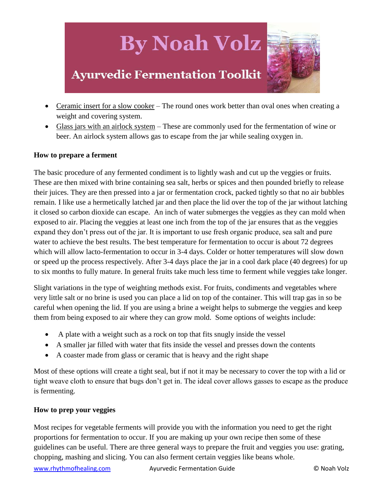### **Ayurvedic Fermentation Toolkit**

- Ceramic insert for a slow cooker The round ones work better than oval ones when creating a weight and covering system.
- Glass jars with an airlock system These are commonly used for the fermentation of wine or beer. An airlock system allows gas to escape from the jar while sealing oxygen in.

#### <span id="page-6-0"></span>**How to prepare a ferment**

The basic procedure of any fermented condiment is to lightly wash and cut up the veggies or fruits. These are then mixed with brine containing sea salt, herbs or spices and then pounded briefly to release their juices. They are then pressed into a jar or fermentation crock, packed tightly so that no air bubbles remain. I like use a hermetically latched jar and then place the lid over the top of the jar without latching it closed so carbon dioxide can escape. An inch of water submerges the veggies as they can mold when exposed to air. Placing the veggies at least one inch from the top of the jar ensures that as the veggies expand they don't press out of the jar. It is important to use fresh organic produce, sea salt and pure water to achieve the best results. The best temperature for fermentation to occur is about 72 degrees which will allow lacto-fermentation to occur in 3-4 days. Colder or hotter temperatures will slow down or speed up the process respectively. After 3-4 days place the jar in a cool dark place (40 degrees) for up to six months to fully mature. In general fruits take much less time to ferment while veggies take longer.

Slight variations in the type of weighting methods exist. For fruits, condiments and vegetables where very little salt or no brine is used you can place a lid on top of the container. This will trap gas in so be careful when opening the lid. If you are using a brine a weight helps to submerge the veggies and keep them from being exposed to air where they can grow mold. Some options of weights include:

- A plate with a weight such as a rock on top that fits snugly inside the vessel
- A smaller jar filled with water that fits inside the vessel and presses down the contents
- A coaster made from glass or ceramic that is heavy and the right shape

Most of these options will create a tight seal, but if not it may be necessary to cover the top with a lid or tight weave cloth to ensure that bugs don't get in. The ideal cover allows gasses to escape as the produce is fermenting.

#### <span id="page-6-1"></span>**How to prep your veggies**

Most recipes for vegetable ferments will provide you with the information you need to get the right proportions for fermentation to occur. If you are making up your own recipe then some of these guidelines can be useful. There are three general ways to prepare the fruit and veggies you use: grating, chopping, mashing and slicing. You can also ferment certain veggies like beans whole.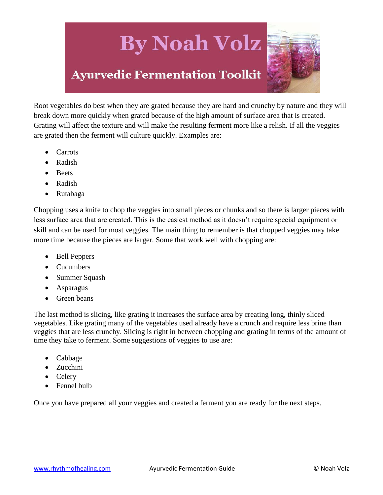### **Ayurvedic Fermentation Toolkit**



Root vegetables do best when they are grated because they are hard and crunchy by nature and they will break down more quickly when grated because of the high amount of surface area that is created. Grating will affect the texture and will make the resulting ferment more like a relish. If all the veggies are grated then the ferment will culture quickly. Examples are:

- Carrots
- Radish
- Beets
- Radish
- Rutabaga

Chopping uses a knife to chop the veggies into small pieces or chunks and so there is larger pieces with less surface area that are created. This is the easiest method as it doesn't require special equipment or skill and can be used for most veggies. The main thing to remember is that chopped veggies may take more time because the pieces are larger. Some that work well with chopping are:

- Bell Peppers
- Cucumbers
- Summer Squash
- Asparagus
- Green beans

The last method is slicing, like grating it increases the surface area by creating long, thinly sliced vegetables. Like grating many of the vegetables used already have a crunch and require less brine than veggies that are less crunchy. Slicing is right in between chopping and grating in terms of the amount of time they take to ferment. Some suggestions of veggies to use are:

- Cabbage
- Zucchini
- Celery
- Fennel bulb

Once you have prepared all your veggies and created a ferment you are ready for the next steps.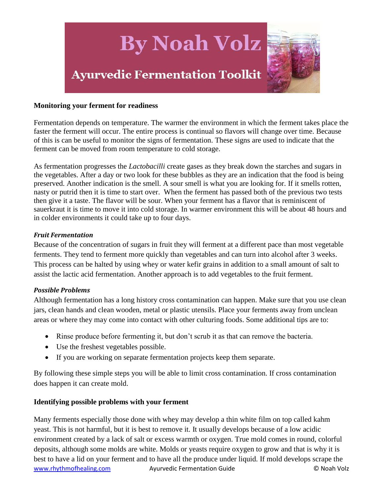

#### <span id="page-8-0"></span>**Monitoring your ferment for readiness**

Fermentation depends on temperature. The warmer the environment in which the ferment takes place the faster the ferment will occur. The entire process is continual so flavors will change over time. Because of this is can be useful to monitor the signs of fermentation. These signs are used to indicate that the ferment can be moved from room temperature to cold storage.

As fermentation progresses the *Lactobacilli* create gases as they break down the starches and sugars in the vegetables. After a day or two look for these bubbles as they are an indication that the food is being preserved. Another indication is the smell. A sour smell is what you are looking for. If it smells rotten, nasty or putrid then it is time to start over. When the ferment has passed both of the previous two tests then give it a taste. The flavor will be sour. When your ferment has a flavor that is reminiscent of sauerkraut it is time to move it into cold storage. In warmer environment this will be about 48 hours and in colder environments it could take up to four days.

#### *Fruit Fermentation*

Because of the concentration of sugars in fruit they will ferment at a different pace than most vegetable ferments. They tend to ferment more quickly than vegetables and can turn into alcohol after 3 weeks. This process can be halted by using whey or water kefir grains in addition to a small amount of salt to assist the lactic acid fermentation. Another approach is to add vegetables to the fruit ferment.

#### *Possible Problems*

Although fermentation has a long history cross contamination can happen. Make sure that you use clean jars, clean hands and clean wooden, metal or plastic utensils. Place your ferments away from unclean areas or where they may come into contact with other culturing foods. Some additional tips are to:

- Rinse produce before fermenting it, but don't scrub it as that can remove the bacteria.
- Use the freshest vegetables possible.
- If you are working on separate fermentation projects keep them separate.

By following these simple steps you will be able to limit cross contamination. If cross contamination does happen it can create mold.

#### <span id="page-8-1"></span>**Identifying possible problems with your ferment**

www.rhythmofhealing.com Ayurvedic Fermentation Guide **C** Noah Volz Many ferments especially those done with whey may develop a thin white film on top called kahm yeast. This is not harmful, but it is best to remove it. It usually develops because of a low acidic environment created by a lack of salt or excess warmth or oxygen. True mold comes in round, colorful deposits, although some molds are white. Molds or yeasts require oxygen to grow and that is why it is best to have a lid on your ferment and to have all the produce under liquid. If mold develops scrape the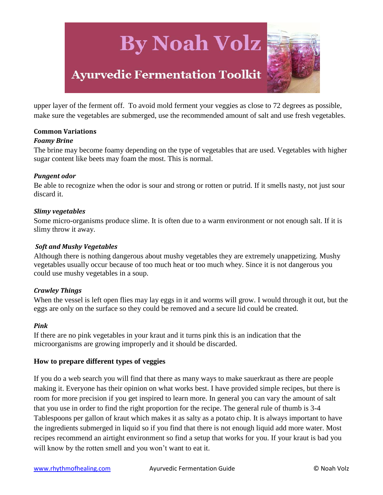### **Ayurvedic Fermentation Toolkit**

upper layer of the ferment off. To avoid mold ferment your veggies as close to 72 degrees as possible, make sure the vegetables are submerged, use the recommended amount of salt and use fresh vegetables.

#### <span id="page-9-0"></span>**Common Variations**

#### *Foamy Brine*

The brine may become foamy depending on the type of vegetables that are used. Vegetables with higher sugar content like beets may foam the most. This is normal.

#### *Pungent odor*

Be able to recognize when the odor is sour and strong or rotten or putrid. If it smells nasty, not just sour discard it.

#### *Slimy vegetables*

Some micro-organisms produce slime. It is often due to a warm environment or not enough salt. If it is slimy throw it away.

#### *Soft and Mushy Vegetables*

Although there is nothing dangerous about mushy vegetables they are extremely unappetizing. Mushy vegetables usually occur because of too much heat or too much whey. Since it is not dangerous you could use mushy vegetables in a soup.

#### *Crawley Things*

When the vessel is left open flies may lay eggs in it and worms will grow. I would through it out, but the eggs are only on the surface so they could be removed and a secure lid could be created.

#### *Pink*

If there are no pink vegetables in your kraut and it turns pink this is an indication that the microorganisms are growing improperly and it should be discarded.

#### <span id="page-9-1"></span>**How to prepare different types of veggies**

If you do a web search you will find that there as many ways to make sauerkraut as there are people making it. Everyone has their opinion on what works best. I have provided simple recipes, but there is room for more precision if you get inspired to learn more. In general you can vary the amount of salt that you use in order to find the right proportion for the recipe. The general rule of thumb is 3-4 Tablespoons per gallon of kraut which makes it as salty as a potato chip. It is always important to have the ingredients submerged in liquid so if you find that there is not enough liquid add more water. Most recipes recommend an airtight environment so find a setup that works for you. If your kraut is bad you will know by the rotten smell and you won't want to eat it.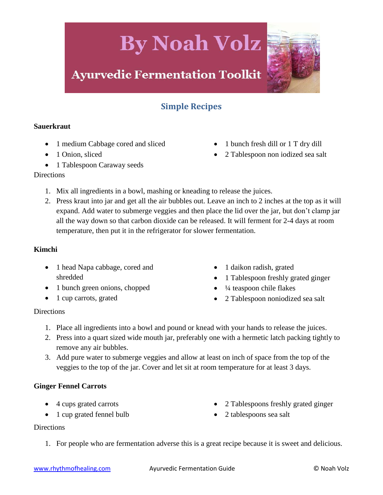### **Ayurvedic Fermentation Toolkit**

#### **Simple Recipes**

#### <span id="page-10-1"></span><span id="page-10-0"></span>**Sauerkraut**

- 1 medium Cabbage cored and sliced
- 1 Onion, sliced
- 1 Tablespoon Caraway seeds

#### **Directions**

- 1. Mix all ingredients in a bowl, mashing or kneading to release the juices.
- 2. Press kraut into jar and get all the air bubbles out. Leave an inch to 2 inches at the top as it will expand. Add water to submerge veggies and then place the lid over the jar, but don't clamp jar all the way down so that carbon dioxide can be released. It will ferment for 2-4 days at room temperature, then put it in the refrigerator for slower fermentation.

#### <span id="page-10-2"></span>**Kimchi**

- 1 head Napa cabbage, cored and shredded
- 1 bunch green onions, chopped
- 1 cup carrots, grated
- 1 daikon radish, grated
- 1 Tablespoon freshly grated ginger

• 1 bunch fresh dill or 1 T dry dill

2 Tablespoon non iodized sea salt

- ¼ teaspoon chile flakes
- 2 Tablespoon noniodized sea salt

#### **Directions**

- 1. Place all ingredients into a bowl and pound or knead with your hands to release the juices.
- 2. Press into a quart sized wide mouth jar, preferably one with a hermetic latch packing tightly to remove any air bubbles.
- 3. Add pure water to submerge veggies and allow at least on inch of space from the top of the veggies to the top of the jar. Cover and let sit at room temperature for at least 3 days.

#### <span id="page-10-3"></span>**Ginger Fennel Carrots**

- 4 cups grated carrots
- 1 cup grated fennel bulb
- 2 Tablespoons freshly grated ginger
- 2 tablespoons sea salt

#### **Directions**

1. For people who are fermentation adverse this is a great recipe because it is sweet and delicious.

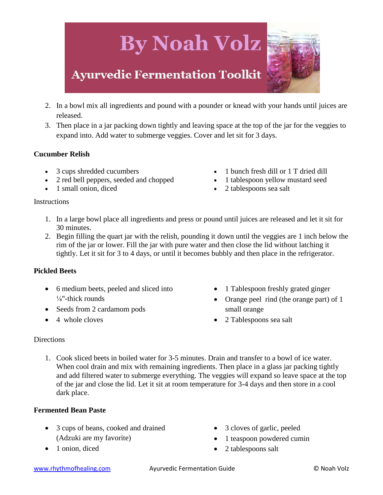# **By Noah Volz Ayurvedic Fermentation Toolkit**

- 2. In a bowl mix all ingredients and pound with a pounder or knead with your hands until juices are released.
- 3. Then place in a jar packing down tightly and leaving space at the top of the jar for the veggies to expand into. Add water to submerge veggies. Cover and let sit for 3 days.

#### <span id="page-11-0"></span>**Cucumber Relish**

- 3 cups shredded cucumbers
- 2 red bell peppers, seeded and chopped
- 1 small onion, diced
- 1 bunch fresh dill or 1 T dried dill
- 1 tablespoon yellow mustard seed
- 2 tablespoons sea salt

#### **Instructions**

- 1. In a large bowl place all ingredients and press or pound until juices are released and let it sit for 30 minutes.
- 2. Begin filling the quart jar with the relish, pounding it down until the veggies are 1 inch below the rim of the jar or lower. Fill the jar with pure water and then close the lid without latching it tightly. Let it sit for 3 to 4 days, or until it becomes bubbly and then place in the refrigerator.

#### <span id="page-11-1"></span>**Pickled Beets**

- 6 medium beets, peeled and sliced into  $\frac{1}{8}$ "-thick rounds
- Seeds from 2 cardamom pods
- 4 whole cloves
- 1 Tablespoon freshly grated ginger
- Orange peel rind (the orange part) of 1 small orange
- 2 Tablespoons sea salt

#### **Directions**

1. Cook sliced beets in boiled water for 3-5 minutes. Drain and transfer to a bowl of ice water. When cool drain and mix with remaining ingredients. Then place in a glass jar packing tightly and add filtered water to submerge everything. The veggies will expand so leave space at the top of the jar and close the lid. Let it sit at room temperature for 3-4 days and then store in a cool dark place.

#### <span id="page-11-2"></span>**Fermented Bean Paste**

- 3 cups of beans, cooked and drained (Adzuki are my favorite)
- 1 onion, diced
- 3 cloves of garlic, peeled
- 1 teaspoon powdered cumin
- 2 tablespoons salt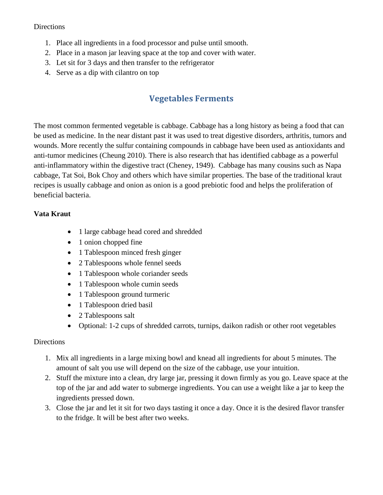#### Directions

- 1. Place all ingredients in a food processor and pulse until smooth.
- 2. Place in a mason jar leaving space at the top and cover with water.
- 3. Let sit for 3 days and then transfer to the refrigerator
- <span id="page-12-0"></span>4. Serve as a dip with cilantro on top

#### **Vegetables Ferments**

The most common fermented vegetable is cabbage. Cabbage has a long history as being a food that can be used as medicine. In the near distant past it was used to treat digestive disorders, arthritis, tumors and wounds. More recently the sulfur containing compounds in cabbage have been used as antioxidants and anti-tumor medicines (Cheung 2010). There is also research that has identified cabbage as a powerful anti-inflammatory within the digestive tract (Cheney, 1949). Cabbage has many cousins such as Napa cabbage, Tat Soi, Bok Choy and others which have similar properties. The base of the traditional kraut recipes is usually cabbage and onion as onion is a good prebiotic food and helps the proliferation of beneficial bacteria.

#### <span id="page-12-1"></span>**Vata Kraut**

- 1 large cabbage head cored and shredded
- 1 onion chopped fine
- 1 Tablespoon minced fresh ginger
- 2 Tablespoons whole fennel seeds
- 1 Tablespoon whole coriander seeds
- 1 Tablespoon whole cumin seeds
- 1 Tablespoon ground turmeric
- 1 Tablespoon dried basil
- 2 Tablespoons salt
- Optional: 1-2 cups of shredded carrots, turnips, daikon radish or other root vegetables

- 1. Mix all ingredients in a large mixing bowl and knead all ingredients for about 5 minutes. The amount of salt you use will depend on the size of the cabbage, use your intuition.
- 2. Stuff the mixture into a clean, dry large jar, pressing it down firmly as you go. Leave space at the top of the jar and add water to submerge ingredients. You can use a weight like a jar to keep the ingredients pressed down.
- 3. Close the jar and let it sit for two days tasting it once a day. Once it is the desired flavor transfer to the fridge. It will be best after two weeks.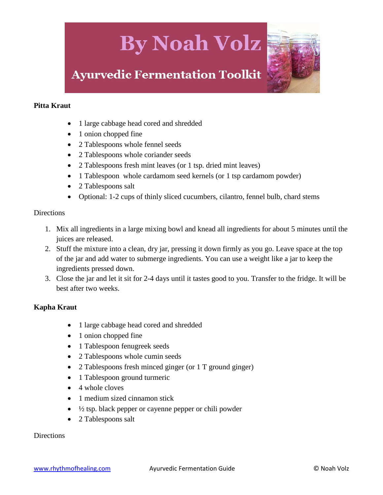

#### <span id="page-13-0"></span>**Pitta Kraut**

- 1 large cabbage head cored and shredded
- 1 onion chopped fine
- 2 Tablespoons whole fennel seeds
- 2 Tablespoons whole coriander seeds
- 2 Tablespoons fresh mint leaves (or 1 tsp. dried mint leaves)
- 1 Tablespoon whole cardamom seed kernels (or 1 tsp cardamom powder)
- 2 Tablespoons salt
- Optional: 1-2 cups of thinly sliced cucumbers, cilantro, fennel bulb, chard stems

#### **Directions**

- 1. Mix all ingredients in a large mixing bowl and knead all ingredients for about 5 minutes until the juices are released.
- 2. Stuff the mixture into a clean, dry jar, pressing it down firmly as you go. Leave space at the top of the jar and add water to submerge ingredients. You can use a weight like a jar to keep the ingredients pressed down.
- 3. Close the jar and let it sit for 2-4 days until it tastes good to you. Transfer to the fridge. It will be best after two weeks.

#### <span id="page-13-1"></span>**Kapha Kraut**

- 1 large cabbage head cored and shredded
- 1 onion chopped fine
- 1 Tablespoon fenugreek seeds
- 2 Tablespoons whole cumin seeds
- 2 Tablespoons fresh minced ginger (or 1 T ground ginger)
- 1 Tablespoon ground turmeric
- $\bullet$  4 whole cloves
- 1 medium sized cinnamon stick
- $\bullet$   $\frac{1}{2}$  tsp. black pepper or cayenne pepper or chili powder
- 2 Tablespoons salt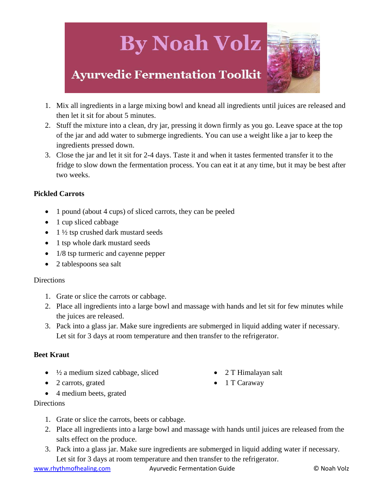### **Ayurvedic Fermentation Toolkit**

- 1. Mix all ingredients in a large mixing bowl and knead all ingredients until juices are released and then let it sit for about 5 minutes.
- 2. Stuff the mixture into a clean, dry jar, pressing it down firmly as you go. Leave space at the top of the jar and add water to submerge ingredients. You can use a weight like a jar to keep the ingredients pressed down.
- 3. Close the jar and let it sit for 2-4 days. Taste it and when it tastes fermented transfer it to the fridge to slow down the fermentation process. You can eat it at any time, but it may be best after two weeks.

#### <span id="page-14-0"></span>**Pickled Carrots**

- 1 pound (about 4 cups) of sliced carrots, they can be peeled
- 1 cup sliced cabbage
- $\bullet$  1  $\frac{1}{2}$  tsp crushed dark mustard seeds
- 1 tsp whole dark mustard seeds
- 1/8 tsp turmeric and cayenne pepper
- 2 tablespoons sea salt

#### **Directions**

- 1. Grate or slice the carrots or cabbage.
- 2. Place all ingredients into a large bowl and massage with hands and let sit for few minutes while the juices are released.
- 3. Pack into a glass jar. Make sure ingredients are submerged in liquid adding water if necessary. Let sit for 3 days at room temperature and then transfer to the refrigerator.

#### <span id="page-14-1"></span>**Beet Kraut**

- $\bullet$   $\frac{1}{2}$  a medium sized cabbage, sliced
- 2 carrots, grated
- 4 medium beets, grated

#### **Directions**

- 1. Grate or slice the carrots, beets or cabbage.
- 2. Place all ingredients into a large bowl and massage with hands until juices are released from the salts effect on the produce.
- 3. Pack into a glass jar. Make sure ingredients are submerged in liquid adding water if necessary. Let sit for 3 days at room temperature and then transfer to the refrigerator.

www.rhythmofhealing.com Ayurvedic Fermentation Guide **Communist Construction** On Noah Volz

- 2 T Himalayan salt
- $\bullet$  1 T Caraway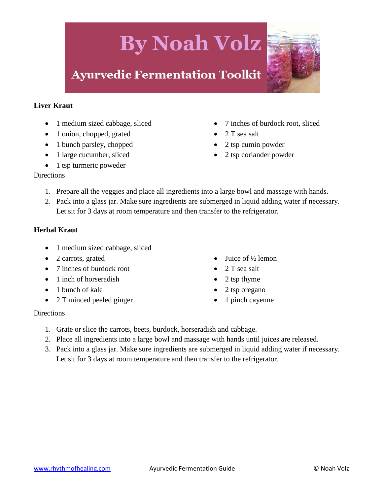### **Ayurvedic Fermentation Toolkit**

#### <span id="page-15-0"></span>**Liver Kraut**

- 1 medium sized cabbage, sliced
- 1 onion, chopped, grated
- 1 bunch parsley, chopped
- 1 large cucumber, sliced
- $\bullet$  1 tsp turmeric poweder
- 7 inches of burdock root, sliced
- 2 T sea salt
- 2 tsp cumin powder
- 2 tsp coriander powder

#### **Directions**

- 1. Prepare all the veggies and place all ingredients into a large bowl and massage with hands.
- 2. Pack into a glass jar. Make sure ingredients are submerged in liquid adding water if necessary. Let sit for 3 days at room temperature and then transfer to the refrigerator.

#### <span id="page-15-1"></span>**Herbal Kraut**

- 1 medium sized cabbage, sliced
- 2 carrots, grated
- 7 inches of burdock root
- 1 inch of horseradish
- 1 bunch of kale
- 2 T minced peeled ginger
- Juice of ½ lemon
- 2 T sea salt
- 2 tsp thyme
- 2 tsp oregano
- 1 pinch cayenne

- 1. Grate or slice the carrots, beets, burdock, horseradish and cabbage.
- 2. Place all ingredients into a large bowl and massage with hands until juices are released.
- 3. Pack into a glass jar. Make sure ingredients are submerged in liquid adding water if necessary. Let sit for 3 days at room temperature and then transfer to the refrigerator.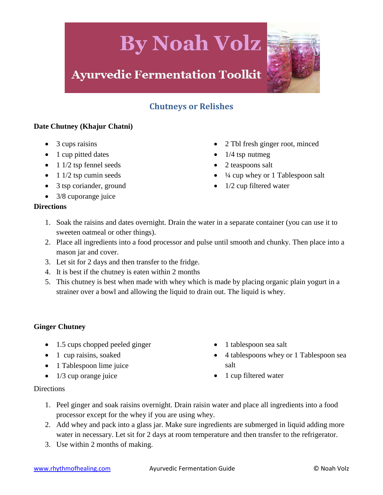### **Ayurvedic Fermentation Toolkit**

#### **Chutneys or Relishes**

#### <span id="page-16-1"></span><span id="page-16-0"></span>**Date Chutney (Khajur Chatni)**

- 3 cups raisins
- 1 cup pitted dates
- $\bullet$  1 1/2 tsp fennel seeds
- $\bullet$  1 1/2 tsp cumin seeds
- 3 tsp coriander, ground
- 3/8 cuporange juice
- 2 Tbl fresh ginger root, minced
- $\bullet$  1/4 tsp nutmeg
- 2 teaspoons salt
- ¼ cup whey or 1 Tablespoon salt
- 1/2 cup filtered water

#### **Directions**

- 1. Soak the raisins and dates overnight. Drain the water in a separate container (you can use it to sweeten oatmeal or other things).
- 2. Place all ingredients into a food processor and pulse until smooth and chunky. Then place into a mason jar and cover.
- 3. Let sit for 2 days and then transfer to the fridge.
- 4. It is best if the chutney is eaten within 2 months
- 5. This chutney is best when made with whey which is made by placing organic plain yogurt in a strainer over a bowl and allowing the liquid to drain out. The liquid is whey.

#### <span id="page-16-2"></span>**Ginger Chutney**

- 1.5 cups chopped peeled ginger
- 1 cup raisins, soaked
- 1 Tablespoon lime juice
- $\bullet$  1/3 cup orange juice
- 1 tablespoon sea salt
- 4 tablespoons whey or 1 Tablespoon sea salt
- 1 cup filtered water

- 1. Peel ginger and soak raisins overnight. Drain raisin water and place all ingredients into a food processor except for the whey if you are using whey.
- 2. Add whey and pack into a glass jar. Make sure ingredients are submerged in liquid adding more water in necessary. Let sit for 2 days at room temperature and then transfer to the refrigerator.
- 3. Use within 2 months of making.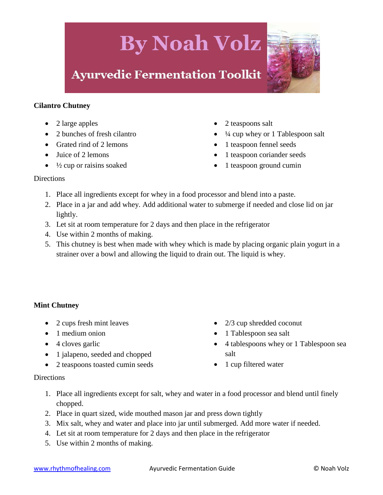### **Ayurvedic Fermentation Toolkit**

<span id="page-17-0"></span>

- 2 large apples
- 2 bunches of fresh cilantro
- Grated rind of 2 lemons
- Juice of 2 lemons
- $\bullet$   $\frac{1}{2}$  cup or raisins soaked
- 2 teaspoons salt
- ¼ cup whey or 1 Tablespoon salt
- 1 teaspoon fennel seeds
- 1 teaspoon coriander seeds
- 1 teaspoon ground cumin

#### **Directions**

- 1. Place all ingredients except for whey in a food processor and blend into a paste.
- 2. Place in a jar and add whey. Add additional water to submerge if needed and close lid on jar lightly.
- 3. Let sit at room temperature for 2 days and then place in the refrigerator
- 4. Use within 2 months of making.
- 5. This chutney is best when made with whey which is made by placing organic plain yogurt in a strainer over a bowl and allowing the liquid to drain out. The liquid is whey.

#### <span id="page-17-1"></span>**Mint Chutney**

- 2 cups fresh mint leaves
- 1 medium onion
- $\bullet$  4 cloves garlic
- 1 jalapeno, seeded and chopped
- 2 teaspoons toasted cumin seeds
- 2/3 cup shredded coconut
- 1 Tablespoon sea salt
- 4 tablespoons whey or 1 Tablespoon sea salt
- 1 cup filtered water

- 1. Place all ingredients except for salt, whey and water in a food processor and blend until finely chopped.
- 2. Place in quart sized, wide mouthed mason jar and press down tightly
- 3. Mix salt, whey and water and place into jar until submerged. Add more water if needed.
- 4. Let sit at room temperature for 2 days and then place in the refrigerator
- 5. Use within 2 months of making.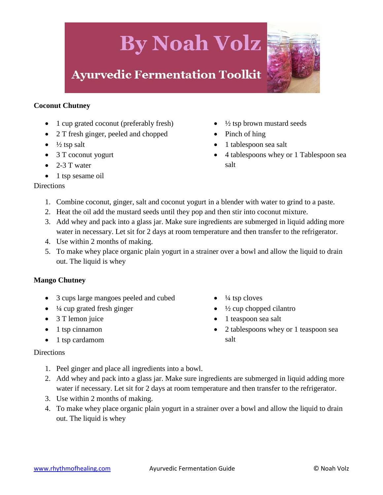### **Ayurvedic Fermentation Toolkit**

#### <span id="page-18-0"></span>**Coconut Chutney**

- 1 cup grated coconut (preferably fresh)
- 2 T fresh ginger, peeled and chopped
- $\bullet$   $\frac{1}{2}$  tsp salt
- 3 T coconut yogurt
- $\bullet$  2-3 T water
- $\bullet$  1 tsp sesame oil
- ½ tsp brown mustard seeds
- Pinch of hing
- 1 tablespoon sea salt
- 4 tablespoons whey or 1 Tablespoon sea salt

#### **Directions**

- 1. Combine coconut, ginger, salt and coconut yogurt in a blender with water to grind to a paste.
- 2. Heat the oil add the mustard seeds until they pop and then stir into coconut mixture.
- 3. Add whey and pack into a glass jar. Make sure ingredients are submerged in liquid adding more water in necessary. Let sit for 2 days at room temperature and then transfer to the refrigerator.
- 4. Use within 2 months of making.
- 5. To make whey place organic plain yogurt in a strainer over a bowl and allow the liquid to drain out. The liquid is whey

#### <span id="page-18-1"></span>**Mango Chutney**

- 3 cups large mangoes peeled and cubed
- $\bullet$   $\frac{1}{4}$  cup grated fresh ginger
- 3 T lemon juice
- 1 tsp cinnamon
- 1 tsp cardamom

#### $\bullet$   $\frac{1}{4}$  tsp cloves

- ½ cup chopped cilantro
- 1 teaspoon sea salt
- 2 tablespoons whey or 1 teaspoon sea salt

- 1. Peel ginger and place all ingredients into a bowl.
- 2. Add whey and pack into a glass jar. Make sure ingredients are submerged in liquid adding more water if necessary. Let sit for 2 days at room temperature and then transfer to the refrigerator.
- 3. Use within 2 months of making.
- 4. To make whey place organic plain yogurt in a strainer over a bowl and allow the liquid to drain out. The liquid is whey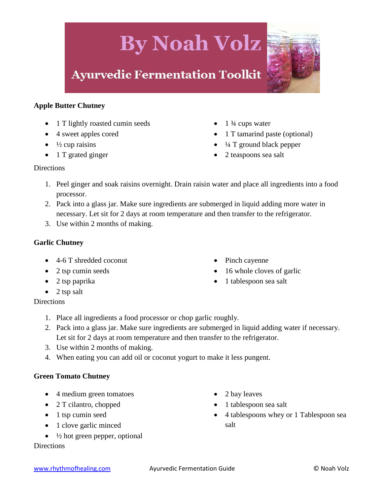### **Ayurvedic Fermentation Toolkit**

#### <span id="page-19-0"></span>**Apple Butter Chutney**

- 1 T lightly roasted cumin seeds
- 4 sweet apples cored
- $\bullet$   $\frac{1}{2}$  cup raisins
- 1 T grated ginger
- $\bullet$  1  $\frac{3}{4}$  cups water
- 1 T tamarind paste (optional)
- ¼ T ground black pepper
- 2 teaspoons sea salt

#### **Directions**

- 1. Peel ginger and soak raisins overnight. Drain raisin water and place all ingredients into a food processor.
- 2. Pack into a glass jar. Make sure ingredients are submerged in liquid adding more water in necessary. Let sit for 2 days at room temperature and then transfer to the refrigerator.
- 3. Use within 2 months of making.

#### <span id="page-19-1"></span>**Garlic Chutney**

- 4-6 T shredded coconut
- 2 tsp cumin seeds
- 2 tsp paprika
- $\bullet$  2 tsp salt

#### **Directions**

- 1. Place all ingredients a food processor or chop garlic roughly.
- 2. Pack into a glass jar. Make sure ingredients are submerged in liquid adding water if necessary. Let sit for 2 days at room temperature and then transfer to the refrigerator.
- 3. Use within 2 months of making.
- 4. When eating you can add oil or coconut yogurt to make it less pungent.

#### <span id="page-19-2"></span>**Green Tomato Chutney**

- 4 medium green tomatoes
- 2 T cilantro, chopped
- $\bullet$  1 tsp cumin seed
- 1 clove garlic minced
- $\bullet$   $\frac{1}{2}$  hot green pepper, optional

- 2 bay leaves
- 1 tablespoon sea salt
- 4 tablespoons whey or 1 Tablespoon sea salt
- Pinch cayenne
- 16 whole cloves of garlic
- 1 tablespoon sea salt

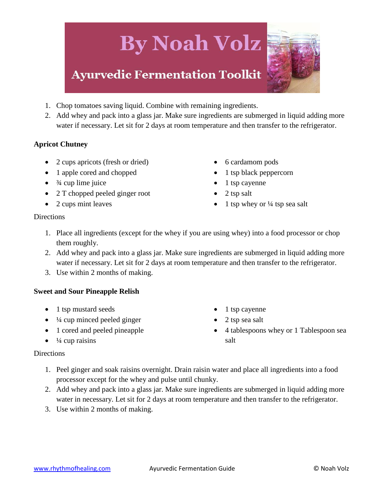### **Ayurvedic Fermentation Toolkit**

- 1. Chop tomatoes saving liquid. Combine with remaining ingredients.
- 2. Add whey and pack into a glass jar. Make sure ingredients are submerged in liquid adding more water if necessary. Let sit for 2 days at room temperature and then transfer to the refrigerator.

#### <span id="page-20-0"></span>**Apricot Chutney**

- 2 cups apricots (fresh or dried)
- 1 apple cored and chopped
- $\bullet$   $\frac{3}{4}$  cup lime juice
- 2 T chopped peeled ginger root
- 2 cups mint leaves
- 6 cardamom pods
- $\bullet$  1 tsp black peppercorn
- 1 tsp cayenne
- $\bullet$  2 tsp salt
- 1 tsp whey or  $\frac{1}{4}$  tsp sea salt

#### **Directions**

- 1. Place all ingredients (except for the whey if you are using whey) into a food processor or chop them roughly.
- 2. Add whey and pack into a glass jar. Make sure ingredients are submerged in liquid adding more water if necessary. Let sit for 2 days at room temperature and then transfer to the refrigerator.
- 3. Use within 2 months of making.

#### <span id="page-20-1"></span>**Sweet and Sour Pineapple Relish**

- 1 tsp mustard seeds
- $\bullet$   $\frac{1}{4}$  cup minced peeled ginger
- 1 cored and peeled pineapple
- $\bullet$   $\frac{1}{4}$  cup raisins
- $\bullet$  1 tsp cayenne
- 2 tsp sea salt
- 4 tablespoons whey or 1 Tablespoon sea salt

- 1. Peel ginger and soak raisins overnight. Drain raisin water and place all ingredients into a food processor except for the whey and pulse until chunky.
- 2. Add whey and pack into a glass jar. Make sure ingredients are submerged in liquid adding more water in necessary. Let sit for 2 days at room temperature and then transfer to the refrigerator.
- 3. Use within 2 months of making.

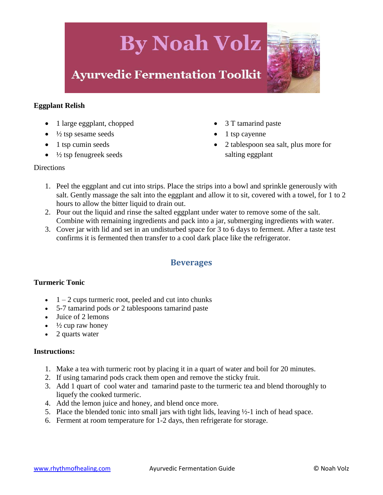

#### <span id="page-21-0"></span>**Eggplant Relish**

- 1 large eggplant, chopped
- $\bullet$   $\frac{1}{2}$  tsp sesame seeds
- $\bullet$  1 tsp cumin seeds
- $\bullet$   $\frac{1}{2}$  tsp fenugreek seeds
- 3 T tamarind paste
- 1 tsp cayenne
- 2 tablespoon sea salt, plus more for salting eggplant

#### Directions

- 1. Peel the eggplant and cut into strips. Place the strips into a bowl and sprinkle generously with salt. Gently massage the salt into the eggplant and allow it to sit, covered with a towel, for 1 to 2 hours to allow the bitter liquid to drain out.
- 2. Pour out the liquid and rinse the salted eggplant under water to remove some of the salt. Combine with remaining ingredients and pack into a jar, submerging ingredients with water.
- 3. Cover jar with lid and set in an undisturbed space for 3 to 6 days to ferment. After a taste test confirms it is fermented then transfer to a cool dark place like the refrigerator.

#### **Beverages**

#### <span id="page-21-2"></span><span id="page-21-1"></span>**Turmeric Tonic**

- $\bullet$  1 2 cups turmeric root, peeled and cut into chunks
- 5-7 tamarind pods *or* 2 tablespoons tamarind paste
- Juice of 2 lemons
- $\cdot$   $\frac{1}{2}$  cup raw honey
- 2 quarts water

#### **Instructions:**

- 1. Make a tea with turmeric root by placing it in a quart of water and boil for 20 minutes.
- 2. If using tamarind pods crack them open and remove the sticky fruit.
- 3. Add 1 quart of cool water and tamarind paste to the turmeric tea and blend thoroughly to liquefy the cooked turmeric.
- 4. Add the lemon juice and honey, and blend once more.
- 5. Place the blended tonic into small jars with tight lids, leaving  $\frac{1}{2}$ -1 inch of head space.
- 6. Ferment at room temperature for 1-2 days, then refrigerate for storage.